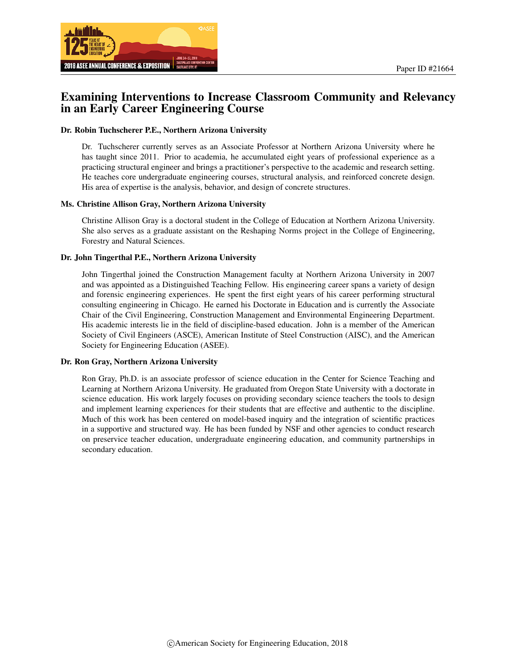

# Examining Interventions to Increase Classroom Community and Relevancy in an Early Career Engineering Course

#### Dr. Robin Tuchscherer P.E., Northern Arizona University

Dr. Tuchscherer currently serves as an Associate Professor at Northern Arizona University where he has taught since 2011. Prior to academia, he accumulated eight years of professional experience as a practicing structural engineer and brings a practitioner's perspective to the academic and research setting. He teaches core undergraduate engineering courses, structural analysis, and reinforced concrete design. His area of expertise is the analysis, behavior, and design of concrete structures.

#### Ms. Christine Allison Gray, Northern Arizona University

Christine Allison Gray is a doctoral student in the College of Education at Northern Arizona University. She also serves as a graduate assistant on the Reshaping Norms project in the College of Engineering, Forestry and Natural Sciences.

#### Dr. John Tingerthal P.E., Northern Arizona University

John Tingerthal joined the Construction Management faculty at Northern Arizona University in 2007 and was appointed as a Distinguished Teaching Fellow. His engineering career spans a variety of design and forensic engineering experiences. He spent the first eight years of his career performing structural consulting engineering in Chicago. He earned his Doctorate in Education and is currently the Associate Chair of the Civil Engineering, Construction Management and Environmental Engineering Department. His academic interests lie in the field of discipline-based education. John is a member of the American Society of Civil Engineers (ASCE), American Institute of Steel Construction (AISC), and the American Society for Engineering Education (ASEE).

#### Dr. Ron Gray, Northern Arizona University

Ron Gray, Ph.D. is an associate professor of science education in the Center for Science Teaching and Learning at Northern Arizona University. He graduated from Oregon State University with a doctorate in science education. His work largely focuses on providing secondary science teachers the tools to design and implement learning experiences for their students that are effective and authentic to the discipline. Much of this work has been centered on model-based inquiry and the integration of scientific practices in a supportive and structured way. He has been funded by NSF and other agencies to conduct research on preservice teacher education, undergraduate engineering education, and community partnerships in secondary education.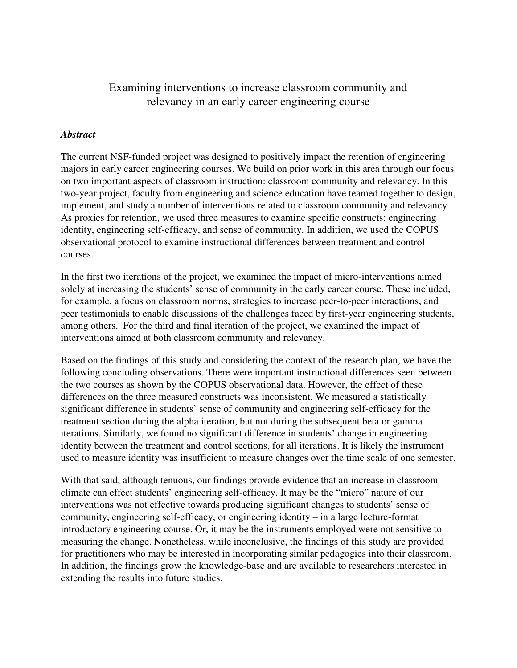# Examining interventions to increase classroom community and relevancy in an early career engineering course

### *Abstract*

The current NSF-funded project was designed to positively impact the retention of engineering majors in early career engineering courses. We build on prior work in this area through our focus on two important aspects of classroom instruction: classroom community and relevancy. In this two-year project, faculty from engineering and science education have teamed together to design, implement, and study a number of interventions related to classroom community and relevancy. As proxies for retention, we used three measures to examine specific constructs: engineering identity, engineering self-efficacy, and sense of community. In addition, we used the COPUS observational protocol to examine instructional differences between treatment and control courses.

In the first two iterations of the project, we examined the impact of micro-interventions aimed solely at increasing the students' sense of community in the early career course. These included, for example, a focus on classroom norms, strategies to increase peer-to-peer interactions, and peer testimonials to enable discussions of the challenges faced by first-year engineering students, among others. For the third and final iteration of the project, we examined the impact of interventions aimed at both classroom community and relevancy.

Based on the findings of this study and considering the context of the research plan, we have the following concluding observations. There were important instructional differences seen between the two courses as shown by the COPUS observational data. However, the effect of these differences on the three measured constructs was inconsistent. We measured a statistically significant difference in students' sense of community and engineering self-efficacy for the treatment section during the alpha iteration, but not during the subsequent beta or gamma iterations. Similarly, we found no significant difference in students' change in engineering identity between the treatment and control sections, for all iterations. It is likely the instrument used to measure identity was insufficient to measure changes over the time scale of one semester.

With that said, although tenuous, our findings provide evidence that an increase in classroom climate can effect students' engineering self-efficacy. It may be the "micro" nature of our interventions was not effective towards producing significant changes to students' sense of community, engineering self-efficacy, or engineering identity – in a large lecture-format introductory engineering course. Or, it may be the instruments employed were not sensitive to measuring the change. Nonetheless, while inconclusive, the findings of this study are provided for practitioners who may be interested in incorporating similar pedagogies into their classroom. In addition, the findings grow the knowledge-base and are available to researchers interested in extending the results into future studies.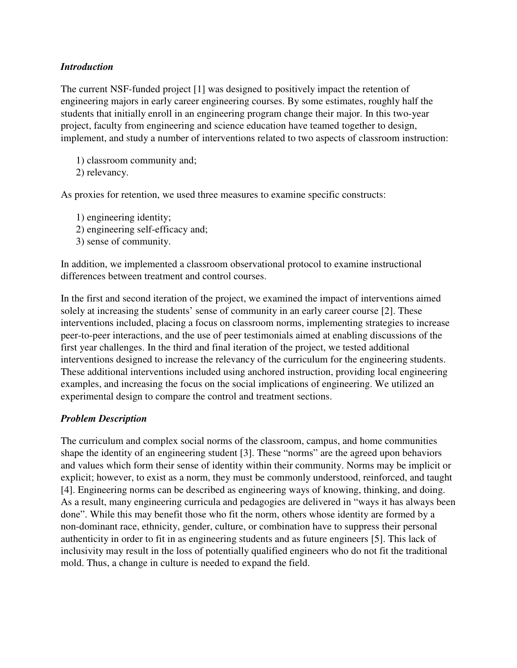### *Introduction*

The current NSF-funded project [1] was designed to positively impact the retention of engineering majors in early career engineering courses. By some estimates, roughly half the students that initially enroll in an engineering program change their major. In this two-year project, faculty from engineering and science education have teamed together to design, implement, and study a number of interventions related to two aspects of classroom instruction:

1) classroom community and; 2) relevancy.

As proxies for retention, we used three measures to examine specific constructs:

1) engineering identity; 2) engineering self-efficacy and; 3) sense of community.

In addition, we implemented a classroom observational protocol to examine instructional differences between treatment and control courses.

In the first and second iteration of the project, we examined the impact of interventions aimed solely at increasing the students' sense of community in an early career course [2]. These interventions included, placing a focus on classroom norms, implementing strategies to increase peer-to-peer interactions, and the use of peer testimonials aimed at enabling discussions of the first year challenges. In the third and final iteration of the project, we tested additional interventions designed to increase the relevancy of the curriculum for the engineering students. These additional interventions included using anchored instruction, providing local engineering examples, and increasing the focus on the social implications of engineering. We utilized an experimental design to compare the control and treatment sections.

## *Problem Description*

The curriculum and complex social norms of the classroom, campus, and home communities shape the identity of an engineering student [3]. These "norms" are the agreed upon behaviors and values which form their sense of identity within their community. Norms may be implicit or explicit; however, to exist as a norm, they must be commonly understood, reinforced, and taught [4]. Engineering norms can be described as engineering ways of knowing, thinking, and doing. As a result, many engineering curricula and pedagogies are delivered in "ways it has always been done". While this may benefit those who fit the norm, others whose identity are formed by a non-dominant race, ethnicity, gender, culture, or combination have to suppress their personal authenticity in order to fit in as engineering students and as future engineers [5]. This lack of inclusivity may result in the loss of potentially qualified engineers who do not fit the traditional mold. Thus, a change in culture is needed to expand the field.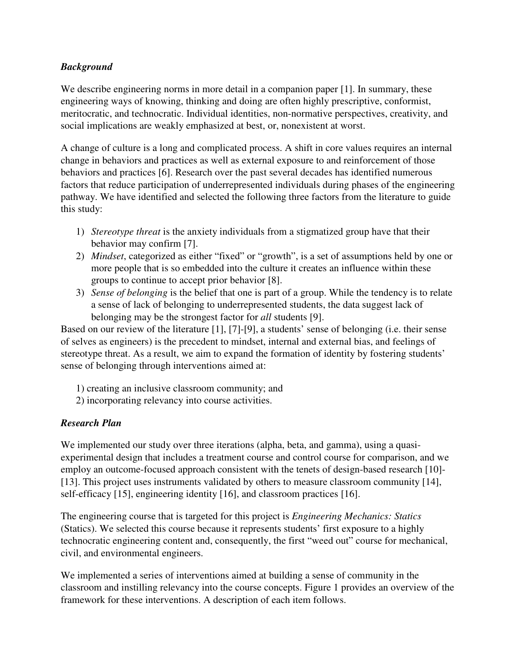# *Background*

We describe engineering norms in more detail in a companion paper [1]. In summary, these engineering ways of knowing, thinking and doing are often highly prescriptive, conformist, meritocratic, and technocratic. Individual identities, non-normative perspectives, creativity, and social implications are weakly emphasized at best, or, nonexistent at worst.

A change of culture is a long and complicated process. A shift in core values requires an internal change in behaviors and practices as well as external exposure to and reinforcement of those behaviors and practices [6]. Research over the past several decades has identified numerous factors that reduce participation of underrepresented individuals during phases of the engineering pathway. We have identified and selected the following three factors from the literature to guide this study:

- 1) *Stereotype threat* is the anxiety individuals from a stigmatized group have that their behavior may confirm [7].
- 2) *Mindset*, categorized as either "fixed" or "growth", is a set of assumptions held by one or more people that is so embedded into the culture it creates an influence within these groups to continue to accept prior behavior [8].
- 3) *Sense of belonging* is the belief that one is part of a group. While the tendency is to relate a sense of lack of belonging to underrepresented students, the data suggest lack of belonging may be the strongest factor for *all* students [9].

Based on our review of the literature [1], [7]-[9], a students' sense of belonging (i.e. their sense of selves as engineers) is the precedent to mindset, internal and external bias, and feelings of stereotype threat. As a result, we aim to expand the formation of identity by fostering students' sense of belonging through interventions aimed at:

- 1) creating an inclusive classroom community; and
- 2) incorporating relevancy into course activities.

# *Research Plan*

We implemented our study over three iterations (alpha, beta, and gamma), using a quasiexperimental design that includes a treatment course and control course for comparison, and we employ an outcome-focused approach consistent with the tenets of design-based research [10]- [13]. This project uses instruments validated by others to measure classroom community [14], self-efficacy [15], engineering identity [16], and classroom practices [16].

The engineering course that is targeted for this project is *Engineering Mechanics: Statics* (Statics). We selected this course because it represents students' first exposure to a highly technocratic engineering content and, consequently, the first "weed out" course for mechanical, civil, and environmental engineers.

We implemented a series of interventions aimed at building a sense of community in the classroom and instilling relevancy into the course concepts. Figure 1 provides an overview of the framework for these interventions. A description of each item follows.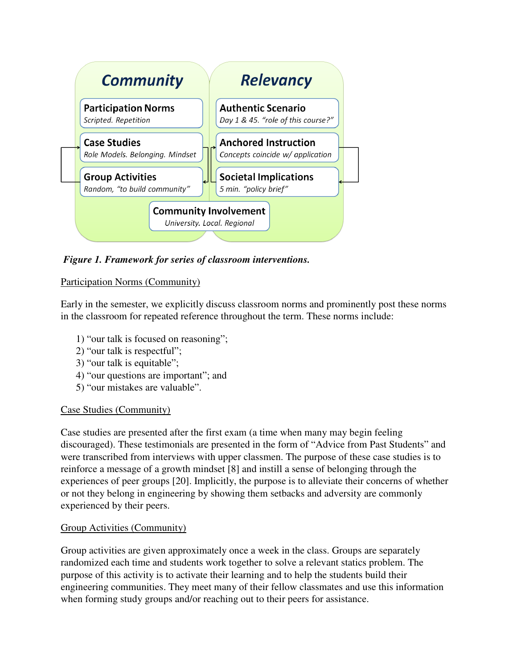

 *Figure 1. Framework for series of classroom interventions.* 

# Participation Norms (Community)

Early in the semester, we explicitly discuss classroom norms and prominently post these norms in the classroom for repeated reference throughout the term. These norms include:

- 1) "our talk is focused on reasoning";
- 2) "our talk is respectful";
- 3) "our talk is equitable";
- 4) "our questions are important"; and
- 5) "our mistakes are valuable".

# Case Studies (Community)

Case studies are presented after the first exam (a time when many may begin feeling discouraged). These testimonials are presented in the form of "Advice from Past Students" and were transcribed from interviews with upper classmen. The purpose of these case studies is to reinforce a message of a growth mindset [8] and instill a sense of belonging through the experiences of peer groups [20]. Implicitly, the purpose is to alleviate their concerns of whether or not they belong in engineering by showing them setbacks and adversity are commonly experienced by their peers.

# Group Activities (Community)

Group activities are given approximately once a week in the class. Groups are separately randomized each time and students work together to solve a relevant statics problem. The purpose of this activity is to activate their learning and to help the students build their engineering communities. They meet many of their fellow classmates and use this information when forming study groups and/or reaching out to their peers for assistance.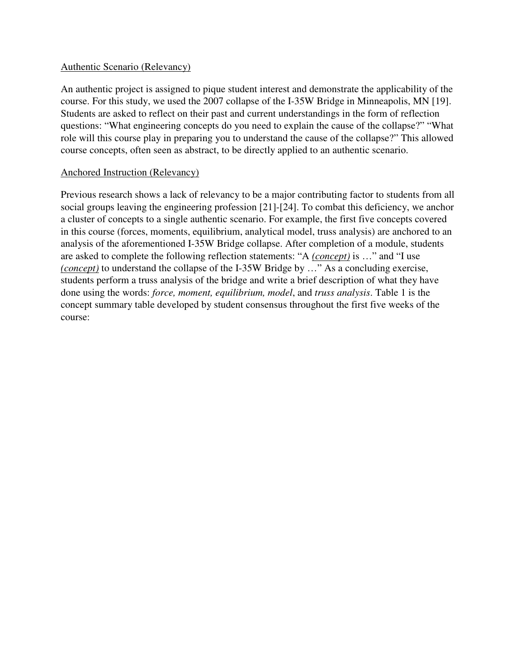#### Authentic Scenario (Relevancy)

An authentic project is assigned to pique student interest and demonstrate the applicability of the course. For this study, we used the 2007 collapse of the I-35W Bridge in Minneapolis, MN [19]. Students are asked to reflect on their past and current understandings in the form of reflection questions: "What engineering concepts do you need to explain the cause of the collapse?" "What role will this course play in preparing you to understand the cause of the collapse?" This allowed course concepts, often seen as abstract, to be directly applied to an authentic scenario.

#### Anchored Instruction (Relevancy)

Previous research shows a lack of relevancy to be a major contributing factor to students from all social groups leaving the engineering profession [21]-[24]. To combat this deficiency, we anchor a cluster of concepts to a single authentic scenario. For example, the first five concepts covered in this course (forces, moments, equilibrium, analytical model, truss analysis) are anchored to an analysis of the aforementioned I-35W Bridge collapse. After completion of a module, students are asked to complete the following reflection statements: "A *(concept)* is …" and "I use *(concept)* to understand the collapse of the I-35W Bridge by …" As a concluding exercise, students perform a truss analysis of the bridge and write a brief description of what they have done using the words: *force, moment, equilibrium, model*, and *truss analysis*. Table 1 is the concept summary table developed by student consensus throughout the first five weeks of the course: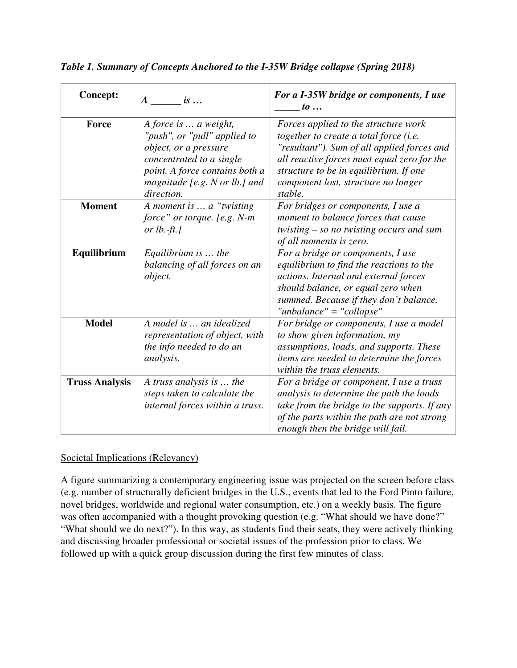| <b>Concept:</b>       | $A$ is                                                                                                                                                                                      | For a I-35W bridge or components, I use<br>$to \ldots$                                                                                                                                                                                                                   |
|-----------------------|---------------------------------------------------------------------------------------------------------------------------------------------------------------------------------------------|--------------------------------------------------------------------------------------------------------------------------------------------------------------------------------------------------------------------------------------------------------------------------|
| Force                 | A force is  a weight,<br>"push", or "pull" applied to<br>object, or a pressure<br>concentrated to a single<br>point. A force contains both a<br>magnitude [e.g. N or lb.] and<br>direction. | Forces applied to the structure work<br>together to create a total force (i.e.<br>"resultant"). Sum of all applied forces and<br>all reactive forces must equal zero for the<br>structure to be in equilibrium. If one<br>component lost, structure no longer<br>stable. |
| <b>Moment</b>         | A moment is  a "twisting"<br>force" or torque. [e.g. N-m<br>or $lb$ .-ft.]                                                                                                                  | For bridges or components, I use a<br>moment to balance forces that cause<br>twisting $-$ so no twisting occurs and sum<br>of all moments is zero.                                                                                                                       |
| Equilibrium           | Equilibrium is $\ldots$ the<br>balancing of all forces on an<br>object.                                                                                                                     | For a bridge or components, I use<br>equilibrium to find the reactions to the<br>actions. Internal and external forces<br>should balance, or equal zero when<br>summed. Because if they don't balance,<br>"unbalance" = "collapse"                                       |
| <b>Model</b>          | A model is  an idealized<br>representation of object, with<br>the info needed to do an<br><i>analysis.</i>                                                                                  | For bridge or components, I use a model<br>to show given information, my<br>assumptions, loads, and supports. These<br>items are needed to determine the forces<br>within the truss elements.                                                                            |
| <b>Truss Analysis</b> | A truss analysis is  the<br>steps taken to calculate the<br>internal forces within a truss.                                                                                                 | For a bridge or component, I use a truss<br>analysis to determine the path the loads<br>take from the bridge to the supports. If any<br>of the parts within the path are not strong<br>enough then the bridge will fail.                                                 |

*Table 1. Summary of Concepts Anchored to the I-35W Bridge collapse (Spring 2018)* 

# Societal Implications (Relevancy)

A figure summarizing a contemporary engineering issue was projected on the screen before class (e.g. number of structurally deficient bridges in the U.S., events that led to the Ford Pinto failure, novel bridges, worldwide and regional water consumption, etc.) on a weekly basis. The figure was often accompanied with a thought provoking question (e.g. "What should we have done?" "What should we do next?"). In this way, as students find their seats, they were actively thinking and discussing broader professional or societal issues of the profession prior to class. We followed up with a quick group discussion during the first few minutes of class.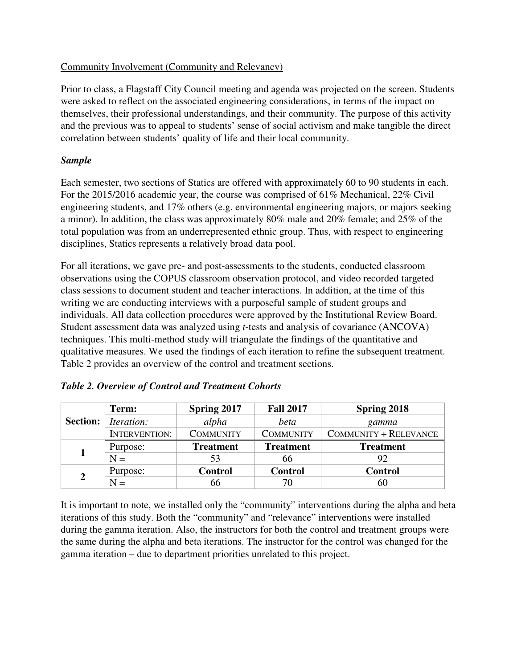## Community Involvement (Community and Relevancy)

Prior to class, a Flagstaff City Council meeting and agenda was projected on the screen. Students were asked to reflect on the associated engineering considerations, in terms of the impact on themselves, their professional understandings, and their community. The purpose of this activity and the previous was to appeal to students' sense of social activism and make tangible the direct correlation between students' quality of life and their local community.

### *Sample*

Each semester, two sections of Statics are offered with approximately 60 to 90 students in each. For the 2015/2016 academic year, the course was comprised of 61% Mechanical, 22% Civil engineering students, and 17% others (e.g. environmental engineering majors, or majors seeking a minor). In addition, the class was approximately 80% male and 20% female; and 25% of the total population was from an underrepresented ethnic group. Thus, with respect to engineering disciplines, Statics represents a relatively broad data pool.

For all iterations, we gave pre- and post-assessments to the students, conducted classroom observations using the COPUS classroom observation protocol, and video recorded targeted class sessions to document student and teacher interactions. In addition, at the time of this writing we are conducting interviews with a purposeful sample of student groups and individuals. All data collection procedures were approved by the Institutional Review Board. Student assessment data was analyzed using *t*-tests and analysis of covariance (ANCOVA) techniques. This multi-method study will triangulate the findings of the quantitative and qualitative measures. We used the findings of each iteration to refine the subsequent treatment. Table 2 provides an overview of the control and treatment sections.

| <b>Section:</b> | Term:                | Spring 2017      | <b>Fall 2017</b> | <b>Spring 2018</b>    |
|-----------------|----------------------|------------------|------------------|-----------------------|
|                 | <i>Iteration:</i>    | alpha            | beta             | gamma                 |
|                 | <b>INTERVENTION:</b> | <b>COMMUNITY</b> | <b>COMMUNITY</b> | COMMUNITY + RELEVANCE |
|                 | Purpose:             | <b>Treatment</b> | <b>Treatment</b> | <b>Treatment</b>      |
|                 | $N =$                | 53               | 66               | 92                    |
| $\overline{2}$  | Purpose:             | <b>Control</b>   | <b>Control</b>   | <b>Control</b>        |
|                 | $N =$                | 66               | 70               | 60                    |

|  |  | Table 2. Overview of Control and Treatment Cohorts |
|--|--|----------------------------------------------------|
|  |  |                                                    |

It is important to note, we installed only the "community" interventions during the alpha and beta iterations of this study. Both the "community" and "relevance" interventions were installed during the gamma iteration. Also, the instructors for both the control and treatment groups were the same during the alpha and beta iterations. The instructor for the control was changed for the gamma iteration – due to department priorities unrelated to this project.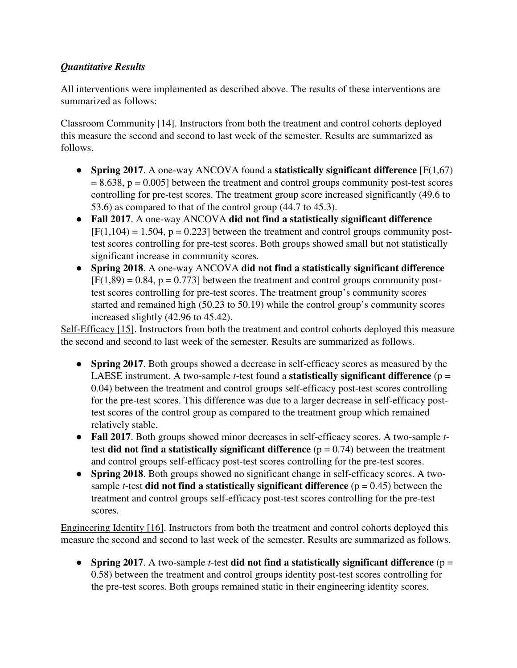# *Quantitative Results*

All interventions were implemented as described above. The results of these interventions are summarized as follows:

Classroom Community [14]. Instructors from both the treatment and control cohorts deployed this measure the second and second to last week of the semester. Results are summarized as follows.

- **Spring 2017**. A one-way ANCOVA found a **statistically significant difference** [F(1,67)  $= 8.638$ ,  $p = 0.005$ ] between the treatment and control groups community post-test scores controlling for pre-test scores. The treatment group score increased significantly (49.6 to 53.6) as compared to that of the control group (44.7 to 45.3).
- **Fall 2017**. A one-way ANCOVA **did not find a statistically significant difference**  $[F(1,104) = 1.504, p = 0.223]$  between the treatment and control groups community posttest scores controlling for pre-test scores. Both groups showed small but not statistically significant increase in community scores.
- **Spring 2018**. A one-way ANCOVA **did not find a statistically significant difference**  $[F(1,89) = 0.84, p = 0.773]$  between the treatment and control groups community posttest scores controlling for pre-test scores. The treatment group's community scores started and remained high (50.23 to 50.19) while the control group's community scores increased slightly (42.96 to 45.42).

Self-Efficacy [15]. Instructors from both the treatment and control cohorts deployed this measure the second and second to last week of the semester. Results are summarized as follows.

- **Spring 2017**. Both groups showed a decrease in self-efficacy scores as measured by the LAESE instrument. A two-sample *t*-test found a **statistically significant difference** (p = 0.04) between the treatment and control groups self-efficacy post-test scores controlling for the pre-test scores. This difference was due to a larger decrease in self-efficacy posttest scores of the control group as compared to the treatment group which remained relatively stable.
- **Fall 2017**. Both groups showed minor decreases in self-efficacy scores. A two-sample *t*test **did not find a statistically significant difference**  $(p = 0.74)$  between the treatment and control groups self-efficacy post-test scores controlling for the pre-test scores.
- **Spring 2018**. Both groups showed no significant change in self-efficacy scores. A twosample *t*-test **did not find a statistically significant difference**  $(p = 0.45)$  between the treatment and control groups self-efficacy post-test scores controlling for the pre-test scores.

Engineering Identity [16]. Instructors from both the treatment and control cohorts deployed this measure the second and second to last week of the semester. Results are summarized as follows.

● **Spring 2017**. A two-sample *t*-test **did not find a statistically significant difference** (p = 0.58) between the treatment and control groups identity post-test scores controlling for the pre-test scores. Both groups remained static in their engineering identity scores.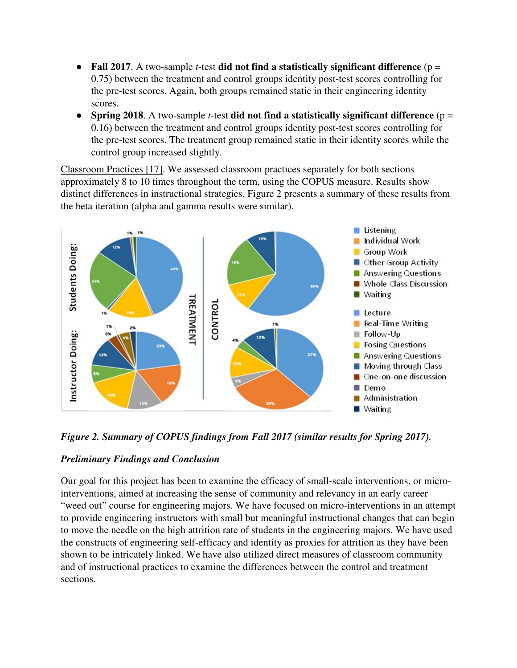- **Fall 2017**. A two-sample *t*-test **did not find a statistically significant difference** (p = 0.75) between the treatment and control groups identity post-test scores controlling for the pre-test scores. Again, both groups remained static in their engineering identity scores.
- **Spring 2018**. A two-sample *t*-test **did not find a statistically significant difference** (p = 0.16) between the treatment and control groups identity post-test scores controlling for the pre-test scores. The treatment group remained static in their identity scores while the control group increased slightly.

Classroom Practices [17]. We assessed classroom practices separately for both sections approximately 8 to 10 times throughout the term, using the COPUS measure. Results show distinct differences in instructional strategies. Figure 2 presents a summary of these results from the beta iteration (alpha and gamma results were similar).



*Figure 2. Summary of COPUS findings from Fall 2017 (similar results for Spring 2017).* 

## *Preliminary Findings and Conclusion*

Our goal for this project has been to examine the efficacy of small-scale interventions, or microinterventions, aimed at increasing the sense of community and relevancy in an early career "weed out" course for engineering majors. We have focused on micro-interventions in an attempt to provide engineering instructors with small but meaningful instructional changes that can begin to move the needle on the high attrition rate of students in the engineering majors. We have used the constructs of engineering self-efficacy and identity as proxies for attrition as they have been shown to be intricately linked. We have also utilized direct measures of classroom community and of instructional practices to examine the differences between the control and treatment sections.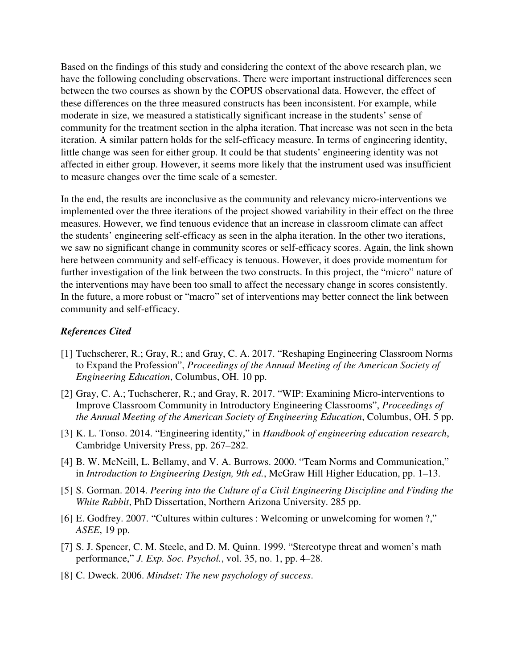Based on the findings of this study and considering the context of the above research plan, we have the following concluding observations. There were important instructional differences seen between the two courses as shown by the COPUS observational data. However, the effect of these differences on the three measured constructs has been inconsistent. For example, while moderate in size, we measured a statistically significant increase in the students' sense of community for the treatment section in the alpha iteration. That increase was not seen in the beta iteration. A similar pattern holds for the self-efficacy measure. In terms of engineering identity, little change was seen for either group. It could be that students' engineering identity was not affected in either group. However, it seems more likely that the instrument used was insufficient to measure changes over the time scale of a semester.

In the end, the results are inconclusive as the community and relevancy micro-interventions we implemented over the three iterations of the project showed variability in their effect on the three measures. However, we find tenuous evidence that an increase in classroom climate can affect the students' engineering self-efficacy as seen in the alpha iteration. In the other two iterations, we saw no significant change in community scores or self-efficacy scores. Again, the link shown here between community and self-efficacy is tenuous. However, it does provide momentum for further investigation of the link between the two constructs. In this project, the "micro" nature of the interventions may have been too small to affect the necessary change in scores consistently. In the future, a more robust or "macro" set of interventions may better connect the link between community and self-efficacy.

#### *References Cited*

- [1] Tuchscherer, R.; Gray, R.; and Gray, C. A. 2017. "Reshaping Engineering Classroom Norms to Expand the Profession", *Proceedings of the Annual Meeting of the American Society of Engineering Education*, Columbus, OH. 10 pp.
- [2] Gray, C. A.; Tuchscherer, R.; and Gray, R. 2017. "WIP: Examining Micro-interventions to Improve Classroom Community in Introductory Engineering Classrooms", *Proceedings of the Annual Meeting of the American Society of Engineering Education*, Columbus, OH. 5 pp.
- [3] K. L. Tonso. 2014. "Engineering identity," in *Handbook of engineering education research*, Cambridge University Press, pp. 267–282.
- [4] B. W. McNeill, L. Bellamy, and V. A. Burrows. 2000. "Team Norms and Communication," in *Introduction to Engineering Design, 9th ed.*, McGraw Hill Higher Education, pp. 1–13.
- [5] S. Gorman. 2014. *Peering into the Culture of a Civil Engineering Discipline and Finding the White Rabbit*, PhD Dissertation, Northern Arizona University. 285 pp.
- [6] E. Godfrey. 2007. "Cultures within cultures : Welcoming or unwelcoming for women ?," *ASEE*, 19 pp.
- [7] S. J. Spencer, C. M. Steele, and D. M. Quinn. 1999. "Stereotype threat and women's math performance," *J. Exp. Soc. Psychol.*, vol. 35, no. 1, pp. 4–28.
- [8] C. Dweck. 2006. *Mindset: The new psychology of success*.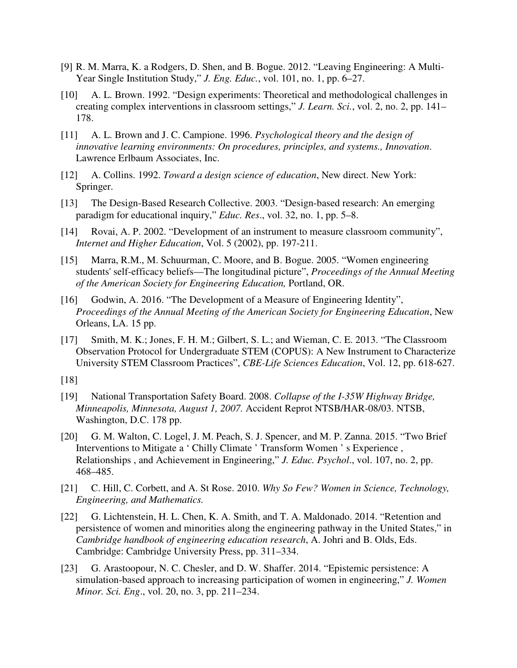- [9] R. M. Marra, K. a Rodgers, D. Shen, and B. Bogue. 2012. "Leaving Engineering: A Multi-Year Single Institution Study," *J. Eng. Educ.*, vol. 101, no. 1, pp. 6–27.
- [10] A. L. Brown. 1992. "Design experiments: Theoretical and methodological challenges in creating complex interventions in classroom settings," *J. Learn. Sci.*, vol. 2, no. 2, pp. 141– 178.
- [11] A. L. Brown and J. C. Campione. 1996. *Psychological theory and the design of innovative learning environments: On procedures, principles, and systems., Innovation*. Lawrence Erlbaum Associates, Inc.
- [12] A. Collins. 1992. *Toward a design science of education*, New direct. New York: Springer.
- [13] The Design-Based Research Collective. 2003. "Design-based research: An emerging paradigm for educational inquiry," *Educ. Res*., vol. 32, no. 1, pp. 5–8.
- [14] Rovai, A. P. 2002. "Development of an instrument to measure classroom community", *Internet and Higher Education*, Vol. 5 (2002), pp. 197-211.
- [15] Marra, R.M., M. Schuurman, C. Moore, and B. Bogue. 2005. "Women engineering students' self-efficacy beliefs—The longitudinal picture", *Proceedings of the Annual Meeting of the American Society for Engineering Education,* Portland, OR.
- [16] Godwin, A. 2016. "The Development of a Measure of Engineering Identity", *Proceedings of the Annual Meeting of the American Society for Engineering Education*, New Orleans, LA. 15 pp.
- [17] Smith, M. K.; Jones, F. H. M.; Gilbert, S. L.; and Wieman, C. E. 2013. "The Classroom Observation Protocol for Undergraduate STEM (COPUS): A New Instrument to Characterize University STEM Classroom Practices", *CBE-Life Sciences Education*, Vol. 12, pp. 618-627.
- [18]
- [19] National Transportation Safety Board. 2008. *Collapse of the I-35W Highway Bridge, Minneapolis, Minnesota, August 1, 2007.* Accident Reprot NTSB/HAR-08/03. NTSB, Washington, D.C. 178 pp.
- [20] G. M. Walton, C. Logel, J. M. Peach, S. J. Spencer, and M. P. Zanna. 2015. "Two Brief Interventions to Mitigate a ' Chilly Climate ' Transform Women ' s Experience , Relationships , and Achievement in Engineering," *J. Educ. Psychol*., vol. 107, no. 2, pp. 468–485.
- [21] C. Hill, C. Corbett, and A. St Rose. 2010. *Why So Few? Women in Science, Technology, Engineering, and Mathematics.*
- [22] G. Lichtenstein, H. L. Chen, K. A. Smith, and T. A. Maldonado. 2014. "Retention and persistence of women and minorities along the engineering pathway in the United States," in *Cambridge handbook of engineering education research*, A. Johri and B. Olds, Eds. Cambridge: Cambridge University Press, pp. 311–334.
- [23] G. Arastoopour, N. C. Chesler, and D. W. Shaffer. 2014. "Epistemic persistence: A simulation-based approach to increasing participation of women in engineering," *J. Women Minor. Sci. Eng*., vol. 20, no. 3, pp. 211–234.